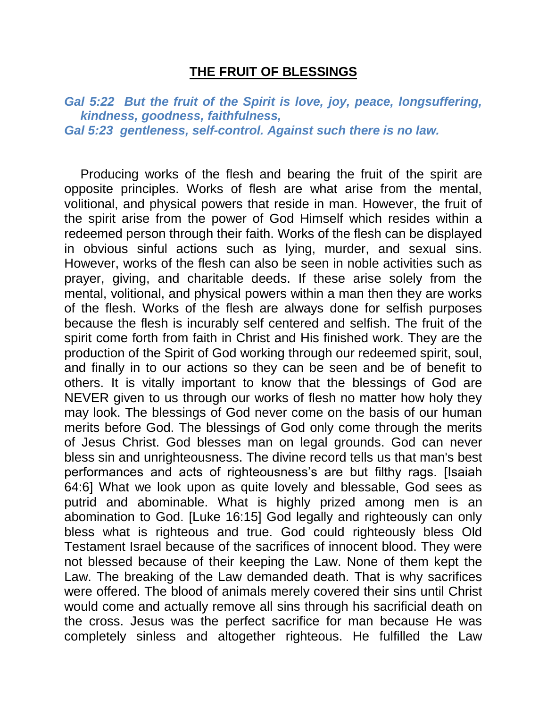## **THE FRUIT OF BLESSINGS**

*Gal 5:22 But the fruit of the Spirit is love, joy, peace, longsuffering, kindness, goodness, faithfulness, Gal 5:23 gentleness, self-control. Against such there is no law.* 

Producing works of the flesh and bearing the fruit of the spirit are opposite principles. Works of flesh are what arise from the mental, volitional, and physical powers that reside in man. However, the fruit of the spirit arise from the power of God Himself which resides within a redeemed person through their faith. Works of the flesh can be displayed in obvious sinful actions such as lying, murder, and sexual sins. However, works of the flesh can also be seen in noble activities such as prayer, giving, and charitable deeds. If these arise solely from the mental, volitional, and physical powers within a man then they are works of the flesh. Works of the flesh are always done for selfish purposes because the flesh is incurably self centered and selfish. The fruit of the spirit come forth from faith in Christ and His finished work. They are the production of the Spirit of God working through our redeemed spirit, soul, and finally in to our actions so they can be seen and be of benefit to others. It is vitally important to know that the blessings of God are NEVER given to us through our works of flesh no matter how holy they may look. The blessings of God never come on the basis of our human merits before God. The blessings of God only come through the merits of Jesus Christ. God blesses man on legal grounds. God can never bless sin and unrighteousness. The divine record tells us that man's best performances and acts of righteousness's are but filthy rags. [Isaiah 64:6] What we look upon as quite lovely and blessable, God sees as putrid and abominable. What is highly prized among men is an abomination to God. [Luke 16:15] God legally and righteously can only bless what is righteous and true. God could righteously bless Old Testament Israel because of the sacrifices of innocent blood. They were not blessed because of their keeping the Law. None of them kept the Law. The breaking of the Law demanded death. That is why sacrifices were offered. The blood of animals merely covered their sins until Christ would come and actually remove all sins through his sacrificial death on the cross. Jesus was the perfect sacrifice for man because He was completely sinless and altogether righteous. He fulfilled the Law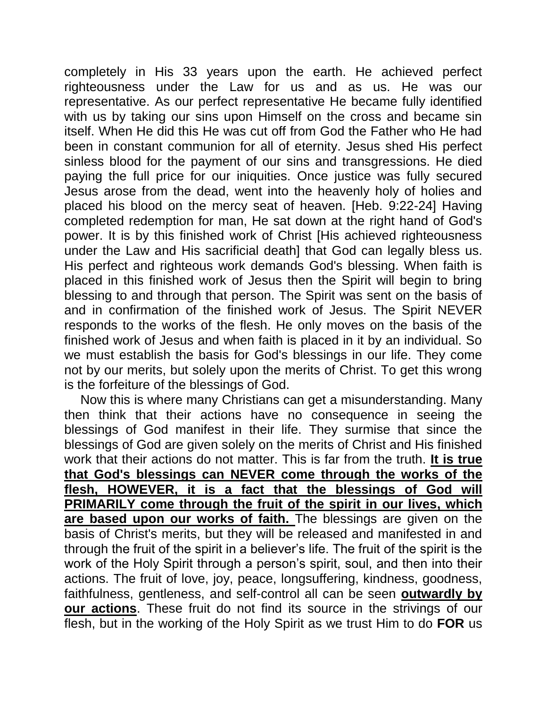completely in His 33 years upon the earth. He achieved perfect righteousness under the Law for us and as us. He was our representative. As our perfect representative He became fully identified with us by taking our sins upon Himself on the cross and became sin itself. When He did this He was cut off from God the Father who He had been in constant communion for all of eternity. Jesus shed His perfect sinless blood for the payment of our sins and transgressions. He died paying the full price for our iniquities. Once justice was fully secured Jesus arose from the dead, went into the heavenly holy of holies and placed his blood on the mercy seat of heaven. [Heb. 9:22-24] Having completed redemption for man, He sat down at the right hand of God's power. It is by this finished work of Christ [His achieved righteousness under the Law and His sacrificial death] that God can legally bless us. His perfect and righteous work demands God's blessing. When faith is placed in this finished work of Jesus then the Spirit will begin to bring blessing to and through that person. The Spirit was sent on the basis of and in confirmation of the finished work of Jesus. The Spirit NEVER responds to the works of the flesh. He only moves on the basis of the finished work of Jesus and when faith is placed in it by an individual. So we must establish the basis for God's blessings in our life. They come not by our merits, but solely upon the merits of Christ. To get this wrong is the forfeiture of the blessings of God.

Now this is where many Christians can get a misunderstanding. Many then think that their actions have no consequence in seeing the blessings of God manifest in their life. They surmise that since the blessings of God are given solely on the merits of Christ and His finished work that their actions do not matter. This is far from the truth. **It is true that God's blessings can NEVER come through the works of the flesh, HOWEVER, it is a fact that the blessings of God will PRIMARILY come through the fruit of the spirit in our lives, which are based upon our works of faith.** The blessings are given on the basis of Christ's merits, but they will be released and manifested in and through the fruit of the spirit in a believer's life. The fruit of the spirit is the work of the Holy Spirit through a person's spirit, soul, and then into their actions. The fruit of love, joy, peace, longsuffering, kindness, goodness, faithfulness, gentleness, and self-control all can be seen **outwardly by our actions**. These fruit do not find its source in the strivings of our flesh, but in the working of the Holy Spirit as we trust Him to do **FOR** us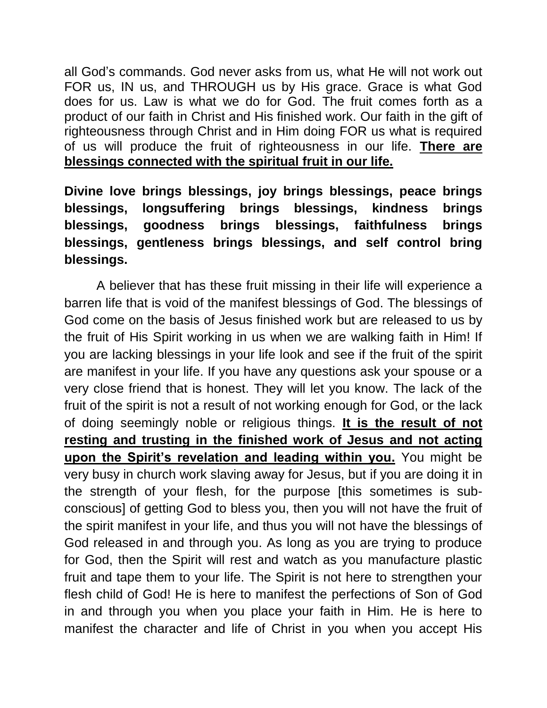all God's commands. God never asks from us, what He will not work out FOR us, IN us, and THROUGH us by His grace. Grace is what God does for us. Law is what we do for God. The fruit comes forth as a product of our faith in Christ and His finished work. Our faith in the gift of righteousness through Christ and in Him doing FOR us what is required of us will produce the fruit of righteousness in our life. **There are blessings connected with the spiritual fruit in our life.**

**Divine love brings blessings, joy brings blessings, peace brings blessings, longsuffering brings blessings, kindness brings blessings, goodness brings blessings, faithfulness brings blessings, gentleness brings blessings, and self control bring blessings.** 

A believer that has these fruit missing in their life will experience a barren life that is void of the manifest blessings of God. The blessings of God come on the basis of Jesus finished work but are released to us by the fruit of His Spirit working in us when we are walking faith in Him! If you are lacking blessings in your life look and see if the fruit of the spirit are manifest in your life. If you have any questions ask your spouse or a very close friend that is honest. They will let you know. The lack of the fruit of the spirit is not a result of not working enough for God, or the lack of doing seemingly noble or religious things. **It is the result of not resting and trusting in the finished work of Jesus and not acting upon the Spirit's revelation and leading within you.** You might be very busy in church work slaving away for Jesus, but if you are doing it in the strength of your flesh, for the purpose [this sometimes is subconscious] of getting God to bless you, then you will not have the fruit of the spirit manifest in your life, and thus you will not have the blessings of God released in and through you. As long as you are trying to produce for God, then the Spirit will rest and watch as you manufacture plastic fruit and tape them to your life. The Spirit is not here to strengthen your flesh child of God! He is here to manifest the perfections of Son of God in and through you when you place your faith in Him. He is here to manifest the character and life of Christ in you when you accept His